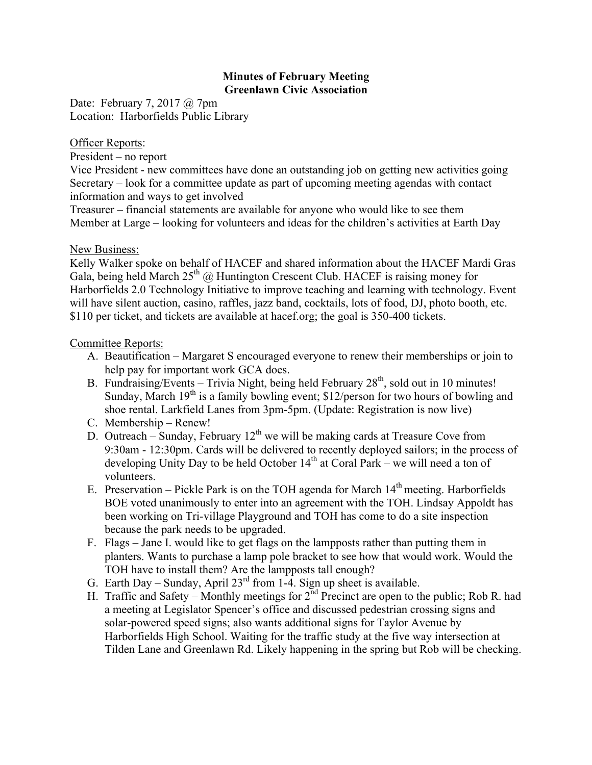## **Minutes of February Meeting Greenlawn Civic Association**

Date: February 7, 2017 @ 7pm Location: Harborfields Public Library

## Officer Reports:

President – no report

Vice President - new committees have done an outstanding job on getting new activities going Secretary – look for a committee update as part of upcoming meeting agendas with contact information and ways to get involved

Treasurer – financial statements are available for anyone who would like to see them Member at Large – looking for volunteers and ideas for the children's activities at Earth Day

## New Business:

Kelly Walker spoke on behalf of HACEF and shared information about the HACEF Mardi Gras Gala, being held March  $25<sup>th</sup>$  @ Huntington Crescent Club. HACEF is raising money for Harborfields 2.0 Technology Initiative to improve teaching and learning with technology. Event will have silent auction, casino, raffles, jazz band, cocktails, lots of food, DJ, photo booth, etc. \$110 per ticket, and tickets are available at hacef.org; the goal is 350-400 tickets.

## Committee Reports:

- A. Beautification Margaret S encouraged everyone to renew their memberships or join to help pay for important work GCA does.
- B. Fundraising/Events Trivia Night, being held February  $28<sup>th</sup>$ , sold out in 10 minutes! Sunday, March  $19<sup>th</sup>$  is a family bowling event; \$12/person for two hours of bowling and shoe rental. Larkfield Lanes from 3pm-5pm. (Update: Registration is now live)
- C. Membership Renew!
- D. Outreach Sunday, February  $12<sup>th</sup>$  we will be making cards at Treasure Cove from 9:30am - 12:30pm. Cards will be delivered to recently deployed sailors; in the process of developing Unity Day to be held October  $14<sup>th</sup>$  at Coral Park – we will need a ton of volunteers.
- E. Preservation Pickle Park is on the TOH agenda for March  $14<sup>th</sup>$  meeting. Harborfields BOE voted unanimously to enter into an agreement with the TOH. Lindsay Appoldt has been working on Tri-village Playground and TOH has come to do a site inspection because the park needs to be upgraded.
- F. Flags Jane I. would like to get flags on the lampposts rather than putting them in planters. Wants to purchase a lamp pole bracket to see how that would work. Would the TOH have to install them? Are the lampposts tall enough?
- G. Earth Day Sunday, April  $23<sup>rd</sup>$  from 1-4. Sign up sheet is available.
- H. Traffic and Safety Monthly meetings for  $2<sup>nd</sup>$  Precinct are open to the public; Rob R. had a meeting at Legislator Spencer's office and discussed pedestrian crossing signs and solar-powered speed signs; also wants additional signs for Taylor Avenue by Harborfields High School. Waiting for the traffic study at the five way intersection at Tilden Lane and Greenlawn Rd. Likely happening in the spring but Rob will be checking.